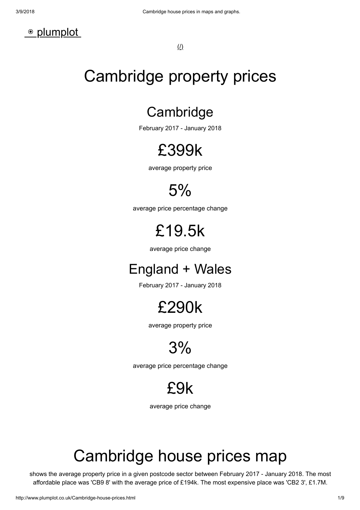

(/)

# Cambridge property prices

#### **Cambridge**

February 2017 - January 2018

# £399k

average property price

## 5%

average price percentage change

# £19.5k

average price change

#### England + Wales

February 2017 - January 2018

#### £290k

average property price

## 3%

average price percentage change

# £9k

average price change

# Cambridge house prices map

shows the average property price in a given postcode sector between February 2017 - January 2018. The most affordable place was 'CB9 8' with the average price of £194k. The most expensive place was 'CB2 3', £1.7M.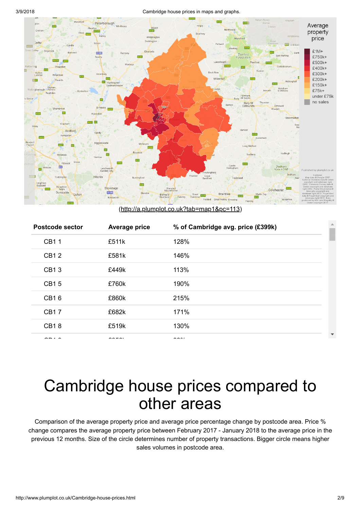

[\(http://a.plumplot.co.uk?tab=map1&pc=113\)](http://a.plumplot.co.uk/?tab=map1&pc=113)

| <b>Postcode sector</b> | Average price | % of Cambridge avg. price (£399k) |  |
|------------------------|---------------|-----------------------------------|--|
| <b>CB11</b>            | £511k         | 128%                              |  |
| <b>CB12</b>            | £581k         | 146%                              |  |
| CB13                   | £449k         | 113%                              |  |
| <b>CB15</b>            | £760k         | 190%                              |  |
| CB16                   | £860k         | 215%                              |  |
| <b>CB17</b>            | £682k         | 171%                              |  |
| <b>CB18</b>            | £519k         | 130%                              |  |
|                        |               | $\cdots$                          |  |

## Cambridge house prices compared to other areas

Comparison of the average property price and average price percentage change by postcode area. Price % change compares the average property price between February 2017 - January 2018 to the average price in the previous 12 months. Size of the circle determines number of property transactions. Bigger circle means higher sales volumes in postcode area.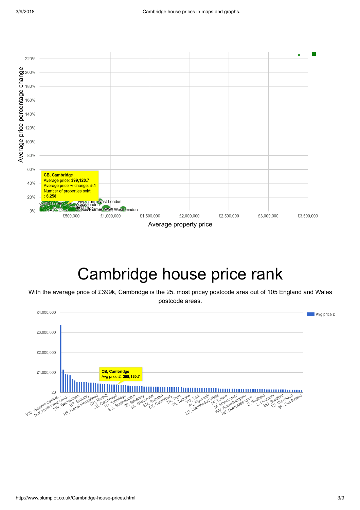

# Cambridge house price rank

With the average price of £399k, Cambridge is the 25. most pricey postcode area out of 105 England and Wales postcode areas.

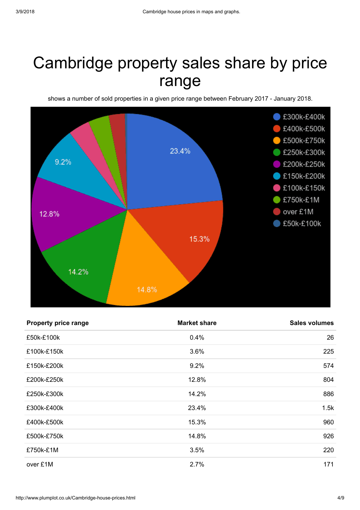# Cambridge property sales share by price range

shows a number of sold properties in a given price range between February 2017 - January 2018.



| <b>Property price range</b> | <b>Market share</b> | <b>Sales volumes</b> |
|-----------------------------|---------------------|----------------------|
| £50k-£100k                  | 0.4%                | 26                   |
| £100k-£150k                 | 3.6%                | 225                  |
| £150k-£200k                 | 9.2%                | 574                  |
| £200k-£250k                 | 12.8%               | 804                  |
| £250k-£300k                 | 14.2%               | 886                  |
| £300k-£400k                 | 23.4%               | 1.5k                 |
| £400k-£500k                 | 15.3%               | 960                  |
| £500k-£750k                 | 14.8%               | 926                  |
| £750k-£1M                   | 3.5%                | 220                  |
| over £1M                    | 2.7%                | 171                  |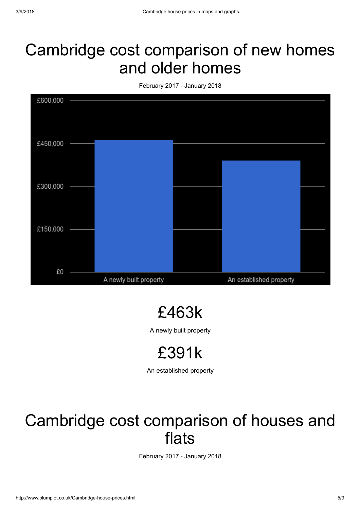## Cambridge cost comparison of new homes and older homes

February 2017 - January 2018



£463k

A newly built property

£391k

An established property

## Cambridge cost comparison of houses and flats

February 2017 - January 2018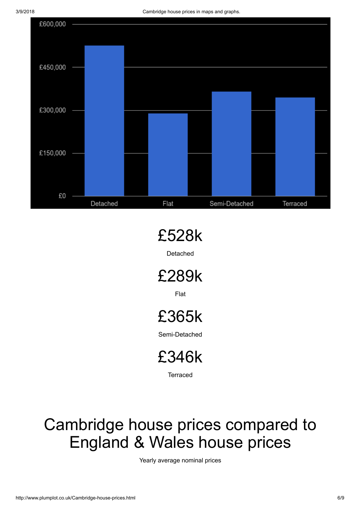

# £528k

Detached

£289k

Flat

# £365k

Semi-Detached

£346k

**Terraced** 

# Cambridge house prices compared to England & Wales house prices

Yearly average nominal prices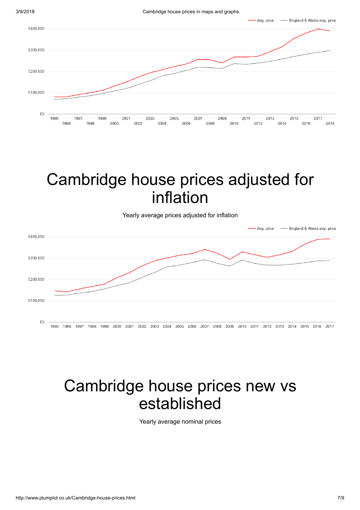

# Cambridge house prices adjusted for inflation

Yearly average prices adjusted for inflation



# Cambridge house prices new vs established

Yearly average nominal prices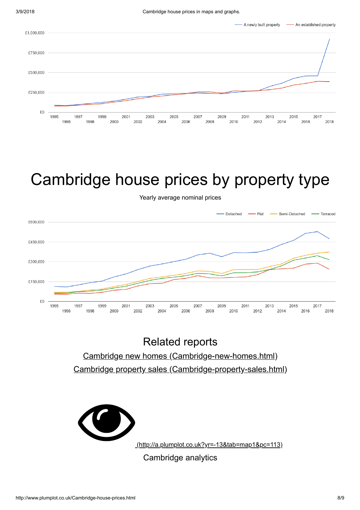

# Cambridge house prices by property type

Yearly average nominal prices



#### Related reports [Cambridge new homes \(Cambridge-new-homes.html\)](http://www.plumplot.co.uk/Cambridge-new-homes.html) [Cambridge property sales \(Cambridge-property-sales.html\)](http://www.plumplot.co.uk/Cambridge-property-sales.html)



Cambridge analytics